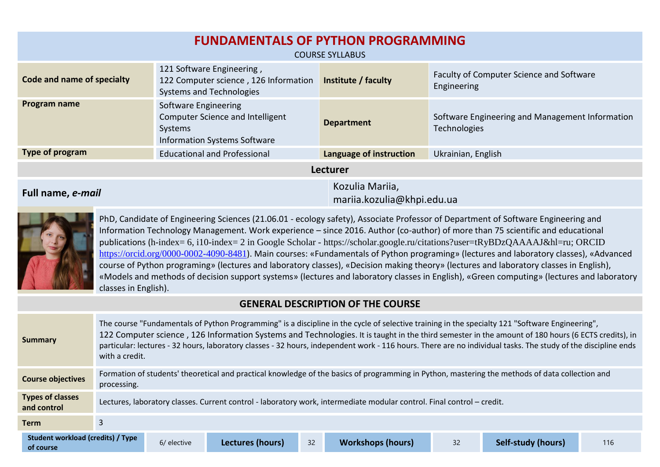| <b>FUNDAMENTALS OF PYTHON PROGRAMMING</b><br><b>COURSE SYLLABUS</b> |                                                                                                            |                                                |                                                                        |  |  |  |
|---------------------------------------------------------------------|------------------------------------------------------------------------------------------------------------|------------------------------------------------|------------------------------------------------------------------------|--|--|--|
| Code and name of specialty                                          | 121 Software Engineering,<br>122 Computer science, 126 Information<br>Systems and Technologies             | Institute / faculty                            | Faculty of Computer Science and Software<br>Engineering                |  |  |  |
| Program name                                                        | Software Engineering<br>Computer Science and Intelligent<br>Systems<br><b>Information Systems Software</b> | <b>Department</b>                              | Software Engineering and Management Information<br><b>Technologies</b> |  |  |  |
| Type of program<br><b>Educational and Professional</b>              |                                                                                                            | Language of instruction                        | Ukrainian, English                                                     |  |  |  |
| <b>Lecturer</b>                                                     |                                                                                                            |                                                |                                                                        |  |  |  |
| Full name, e-mail                                                   |                                                                                                            | Kozulia Mariia,<br>marija kazulia Qkhpi adu ua |                                                                        |  |  |  |

mariia.kozulia@khpi.edu.ua



PhD, Candidate of Engineering Sciences (21.06.01 - ecology safety), Associate Professor of Department of Software Engineering and Information Technology Management. Work experience – since 2016. Author (co-author) of more than 75 scientific and educational publications (h-index= 6, i10-index= 2 in Google Scholar - https://scholar.google.ru/citations?user=tRyBDzQAAAAJ&hl=ru; ORCID <https://orcid.org/0000-0002-4090-8481>). Main courses: «Fundamentals of Python programing» (lectures and laboratory classes), «Advanced course of Python programing» (lectures and laboratory classes), «Decision making theory» (lectures and laboratory classes in English), «Models and methods of decision support systems» (lectures and laboratory classes in English), «Green computing» (lectures and laboratory classes in English).

## **GENERAL DESCRIPTION OF THE COURSE**

| <b>Summary</b>                                        | The course "Fundamentals of Python Programming" is a discipline in the cycle of selective training in the specialty 121 "Software Engineering",<br>122 Computer science, 126 Information Systems and Technologies. It is taught in the third semester in the amount of 180 hours (6 ECTS credits), in<br>particular: lectures - 32 hours, laboratory classes - 32 hours, independent work - 116 hours. There are no individual tasks. The study of the discipline ends<br>with a credit. |             |                  |    |                          |    |                    |     |
|-------------------------------------------------------|------------------------------------------------------------------------------------------------------------------------------------------------------------------------------------------------------------------------------------------------------------------------------------------------------------------------------------------------------------------------------------------------------------------------------------------------------------------------------------------|-------------|------------------|----|--------------------------|----|--------------------|-----|
| <b>Course objectives</b>                              | Formation of students' theoretical and practical knowledge of the basics of programming in Python, mastering the methods of data collection and<br>processing.                                                                                                                                                                                                                                                                                                                           |             |                  |    |                          |    |                    |     |
| <b>Types of classes</b><br>and control                | Lectures, laboratory classes. Current control - laboratory work, intermediate modular control. Final control - credit.                                                                                                                                                                                                                                                                                                                                                                   |             |                  |    |                          |    |                    |     |
| <b>Term</b>                                           | 3                                                                                                                                                                                                                                                                                                                                                                                                                                                                                        |             |                  |    |                          |    |                    |     |
| <b>Student workload (credits) / Type</b><br>of course |                                                                                                                                                                                                                                                                                                                                                                                                                                                                                          | 6/ elective | Lectures (hours) | 32 | <b>Workshops (hours)</b> | 32 | Self-study (hours) | 116 |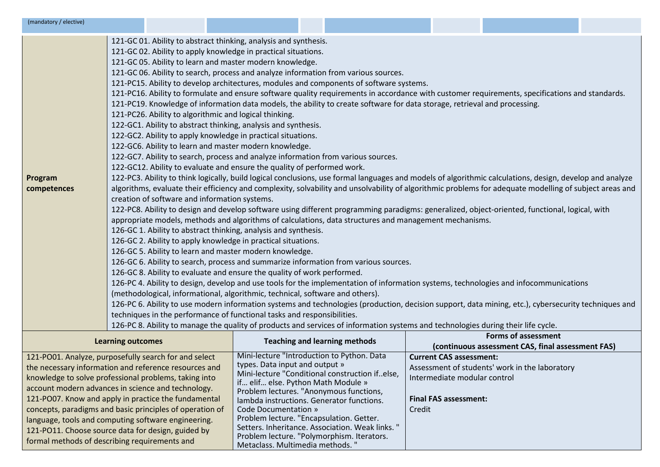| (mandatory / elective)                                                                                                                                        |                                                                                                                                                                                                                                                                                                                                                                                                                                                                                                                                                                                                                                                                                                                                                                                                                                                                                                                                                                                                                                                                                                                                                                                                                                                                                                                                                                                                                                                                                                                                                                                                                                                                                                                                                                                                                                                                                                                                                                                                                                                                                                                                                                                                                                                                                                                                                                                                                                                                                                                                                            |  |                                                                   |                                                                                  |                                            |                                                 |                                                |                                |                                                                                 |  |
|---------------------------------------------------------------------------------------------------------------------------------------------------------------|------------------------------------------------------------------------------------------------------------------------------------------------------------------------------------------------------------------------------------------------------------------------------------------------------------------------------------------------------------------------------------------------------------------------------------------------------------------------------------------------------------------------------------------------------------------------------------------------------------------------------------------------------------------------------------------------------------------------------------------------------------------------------------------------------------------------------------------------------------------------------------------------------------------------------------------------------------------------------------------------------------------------------------------------------------------------------------------------------------------------------------------------------------------------------------------------------------------------------------------------------------------------------------------------------------------------------------------------------------------------------------------------------------------------------------------------------------------------------------------------------------------------------------------------------------------------------------------------------------------------------------------------------------------------------------------------------------------------------------------------------------------------------------------------------------------------------------------------------------------------------------------------------------------------------------------------------------------------------------------------------------------------------------------------------------------------------------------------------------------------------------------------------------------------------------------------------------------------------------------------------------------------------------------------------------------------------------------------------------------------------------------------------------------------------------------------------------------------------------------------------------------------------------------------------------|--|-------------------------------------------------------------------|----------------------------------------------------------------------------------|--------------------------------------------|-------------------------------------------------|------------------------------------------------|--------------------------------|---------------------------------------------------------------------------------|--|
| Program<br>competences                                                                                                                                        | 121-GC 01. Ability to abstract thinking, analysis and synthesis.<br>121-GC 02. Ability to apply knowledge in practical situations.<br>121-GC 05. Ability to learn and master modern knowledge.<br>121-GC 06. Ability to search, process and analyze information from various sources.<br>121-PC15. Ability to develop architectures, modules and components of software systems.<br>121-PC16. Ability to formulate and ensure software quality requirements in accordance with customer requirements, specifications and standards.<br>121-PC19. Knowledge of information data models, the ability to create software for data storage, retrieval and processing.<br>121-PC26. Ability to algorithmic and logical thinking.<br>122-GC1. Ability to abstract thinking, analysis and synthesis.<br>122-GC2. Ability to apply knowledge in practical situations.<br>122-GC6. Ability to learn and master modern knowledge.<br>122-GC7. Ability to search, process and analyze information from various sources.<br>122-GC12. Ability to evaluate and ensure the quality of performed work.<br>122-PC3. Ability to think logically, build logical conclusions, use formal languages and models of algorithmic calculations, design, develop and analyze<br>algorithms, evaluate their efficiency and complexity, solvability and unsolvability of algorithmic problems for adequate modelling of subject areas and<br>creation of software and information systems.<br>122-PC8. Ability to design and develop software using different programming paradigms: generalized, object-oriented, functional, logical, with<br>appropriate models, methods and algorithms of calculations, data structures and management mechanisms.<br>126-GC 1. Ability to abstract thinking, analysis and synthesis.<br>126-GC 2. Ability to apply knowledge in practical situations.<br>126-GC 5. Ability to learn and master modern knowledge.<br>126-GC 6. Ability to search, process and summarize information from various sources.<br>126-GC 8. Ability to evaluate and ensure the quality of work performed.<br>126-PC 4. Ability to design, develop and use tools for the implementation of information systems, technologies and infocommunications<br>(methodological, informational, algorithmic, technical, software and others).<br>126-PC 6. Ability to use modern information systems and technologies (production, decision support, data mining, etc.), cybersecurity techniques and<br>techniques in the performance of functional tasks and responsibilities. |  |                                                                   |                                                                                  |                                            |                                                 |                                                |                                |                                                                                 |  |
| 126-PC 8. Ability to manage the quality of products and services of information systems and technologies during their life cycle.<br><b>Learning outcomes</b> |                                                                                                                                                                                                                                                                                                                                                                                                                                                                                                                                                                                                                                                                                                                                                                                                                                                                                                                                                                                                                                                                                                                                                                                                                                                                                                                                                                                                                                                                                                                                                                                                                                                                                                                                                                                                                                                                                                                                                                                                                                                                                                                                                                                                                                                                                                                                                                                                                                                                                                                                                            |  |                                                                   |                                                                                  |                                            | <b>Teaching and learning methods</b>            |                                                |                                | <b>Forms of assessment</b><br>(continuous assessment CAS, final assessment FAS) |  |
| 121-PO01. Analyze, purposefully search for and select                                                                                                         |                                                                                                                                                                                                                                                                                                                                                                                                                                                                                                                                                                                                                                                                                                                                                                                                                                                                                                                                                                                                                                                                                                                                                                                                                                                                                                                                                                                                                                                                                                                                                                                                                                                                                                                                                                                                                                                                                                                                                                                                                                                                                                                                                                                                                                                                                                                                                                                                                                                                                                                                                            |  |                                                                   |                                                                                  |                                            | Mini-lecture "Introduction to Python. Data      |                                                | <b>Current CAS assessment:</b> |                                                                                 |  |
| the necessary information and reference resources and                                                                                                         |                                                                                                                                                                                                                                                                                                                                                                                                                                                                                                                                                                                                                                                                                                                                                                                                                                                                                                                                                                                                                                                                                                                                                                                                                                                                                                                                                                                                                                                                                                                                                                                                                                                                                                                                                                                                                                                                                                                                                                                                                                                                                                                                                                                                                                                                                                                                                                                                                                                                                                                                                            |  |                                                                   | types. Data input and output »<br>Mini-lecture "Conditional construction ifelse, |                                            |                                                 | Assessment of students' work in the laboratory |                                |                                                                                 |  |
| knowledge to solve professional problems, taking into                                                                                                         |                                                                                                                                                                                                                                                                                                                                                                                                                                                                                                                                                                                                                                                                                                                                                                                                                                                                                                                                                                                                                                                                                                                                                                                                                                                                                                                                                                                                                                                                                                                                                                                                                                                                                                                                                                                                                                                                                                                                                                                                                                                                                                                                                                                                                                                                                                                                                                                                                                                                                                                                                            |  |                                                                   | Intermediate modular control<br>if elif else. Python Math Module »               |                                            |                                                 |                                                |                                |                                                                                 |  |
| account modern advances in science and technology.                                                                                                            |                                                                                                                                                                                                                                                                                                                                                                                                                                                                                                                                                                                                                                                                                                                                                                                                                                                                                                                                                                                                                                                                                                                                                                                                                                                                                                                                                                                                                                                                                                                                                                                                                                                                                                                                                                                                                                                                                                                                                                                                                                                                                                                                                                                                                                                                                                                                                                                                                                                                                                                                                            |  | Problem lectures. "Anonymous functions,                           |                                                                                  |                                            |                                                 | <b>Final FAS assessment:</b>                   |                                |                                                                                 |  |
| 121-PO07. Know and apply in practice the fundamental                                                                                                          |                                                                                                                                                                                                                                                                                                                                                                                                                                                                                                                                                                                                                                                                                                                                                                                                                                                                                                                                                                                                                                                                                                                                                                                                                                                                                                                                                                                                                                                                                                                                                                                                                                                                                                                                                                                                                                                                                                                                                                                                                                                                                                                                                                                                                                                                                                                                                                                                                                                                                                                                                            |  | lambda instructions. Generator functions.<br>Code Documentation » |                                                                                  |                                            |                                                 |                                                |                                |                                                                                 |  |
| concepts, paradigms and basic principles of operation of<br>language, tools and computing software engineering.                                               |                                                                                                                                                                                                                                                                                                                                                                                                                                                                                                                                                                                                                                                                                                                                                                                                                                                                                                                                                                                                                                                                                                                                                                                                                                                                                                                                                                                                                                                                                                                                                                                                                                                                                                                                                                                                                                                                                                                                                                                                                                                                                                                                                                                                                                                                                                                                                                                                                                                                                                                                                            |  | Problem lecture. "Encapsulation. Getter.                          |                                                                                  |                                            | Credit                                          |                                                |                                |                                                                                 |  |
| 121-PO11. Choose source data for design, guided by                                                                                                            |                                                                                                                                                                                                                                                                                                                                                                                                                                                                                                                                                                                                                                                                                                                                                                                                                                                                                                                                                                                                                                                                                                                                                                                                                                                                                                                                                                                                                                                                                                                                                                                                                                                                                                                                                                                                                                                                                                                                                                                                                                                                                                                                                                                                                                                                                                                                                                                                                                                                                                                                                            |  |                                                                   |                                                                                  |                                            | Setters. Inheritance. Association. Weak links." |                                                |                                |                                                                                 |  |
| formal methods of describing requirements and                                                                                                                 |                                                                                                                                                                                                                                                                                                                                                                                                                                                                                                                                                                                                                                                                                                                                                                                                                                                                                                                                                                                                                                                                                                                                                                                                                                                                                                                                                                                                                                                                                                                                                                                                                                                                                                                                                                                                                                                                                                                                                                                                                                                                                                                                                                                                                                                                                                                                                                                                                                                                                                                                                            |  | Metaclass. Multimedia methods."                                   |                                                                                  | Problem lecture. "Polymorphism. Iterators. |                                                 |                                                |                                |                                                                                 |  |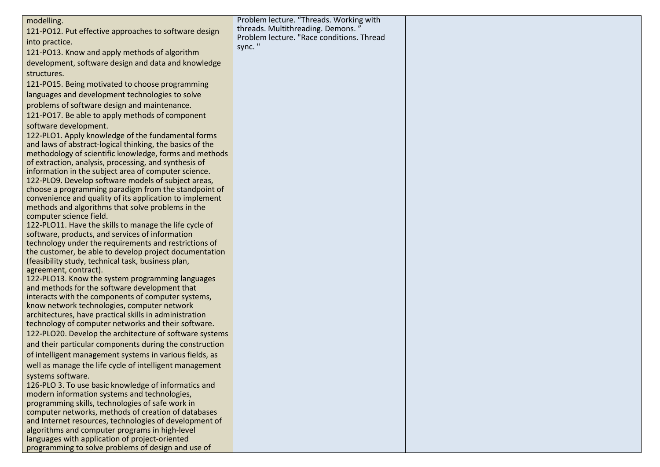| modelling.                                                                                                   | Problem lecture. "Threads. Working with                                        |  |
|--------------------------------------------------------------------------------------------------------------|--------------------------------------------------------------------------------|--|
| 121-PO12. Put effective approaches to software design                                                        | threads. Multithreading. Demons."<br>Problem lecture. "Race conditions. Thread |  |
| into practice.                                                                                               | sync."                                                                         |  |
| 121-PO13. Know and apply methods of algorithm                                                                |                                                                                |  |
| development, software design and data and knowledge                                                          |                                                                                |  |
| structures.                                                                                                  |                                                                                |  |
| 121-PO15. Being motivated to choose programming                                                              |                                                                                |  |
| languages and development technologies to solve                                                              |                                                                                |  |
| problems of software design and maintenance.                                                                 |                                                                                |  |
| 121-PO17. Be able to apply methods of component                                                              |                                                                                |  |
| software development.                                                                                        |                                                                                |  |
| 122-PLO1. Apply knowledge of the fundamental forms                                                           |                                                                                |  |
| and laws of abstract-logical thinking, the basics of the                                                     |                                                                                |  |
| methodology of scientific knowledge, forms and methods                                                       |                                                                                |  |
| of extraction, analysis, processing, and synthesis of                                                        |                                                                                |  |
| information in the subject area of computer science.                                                         |                                                                                |  |
| 122-PLO9. Develop software models of subject areas,                                                          |                                                                                |  |
| choose a programming paradigm from the standpoint of                                                         |                                                                                |  |
| convenience and quality of its application to implement<br>methods and algorithms that solve problems in the |                                                                                |  |
| computer science field.                                                                                      |                                                                                |  |
| 122-PLO11. Have the skills to manage the life cycle of                                                       |                                                                                |  |
| software, products, and services of information                                                              |                                                                                |  |
| technology under the requirements and restrictions of                                                        |                                                                                |  |
| the customer, be able to develop project documentation                                                       |                                                                                |  |
| (feasibility study, technical task, business plan,                                                           |                                                                                |  |
| agreement, contract).                                                                                        |                                                                                |  |
| 122-PLO13. Know the system programming languages<br>and methods for the software development that            |                                                                                |  |
| interacts with the components of computer systems,                                                           |                                                                                |  |
| know network technologies, computer network                                                                  |                                                                                |  |
| architectures, have practical skills in administration                                                       |                                                                                |  |
| technology of computer networks and their software.                                                          |                                                                                |  |
| 122-PLO20. Develop the architecture of software systems                                                      |                                                                                |  |
| and their particular components during the construction                                                      |                                                                                |  |
| of intelligent management systems in various fields, as                                                      |                                                                                |  |
| well as manage the life cycle of intelligent management                                                      |                                                                                |  |
| systems software.                                                                                            |                                                                                |  |
| 126-PLO 3. To use basic knowledge of informatics and                                                         |                                                                                |  |
| modern information systems and technologies,                                                                 |                                                                                |  |
| programming skills, technologies of safe work in                                                             |                                                                                |  |
| computer networks, methods of creation of databases                                                          |                                                                                |  |
| and Internet resources, technologies of development of<br>algorithms and computer programs in high-level     |                                                                                |  |
| languages with application of project-oriented                                                               |                                                                                |  |
| programming to solve problems of design and use of                                                           |                                                                                |  |
|                                                                                                              |                                                                                |  |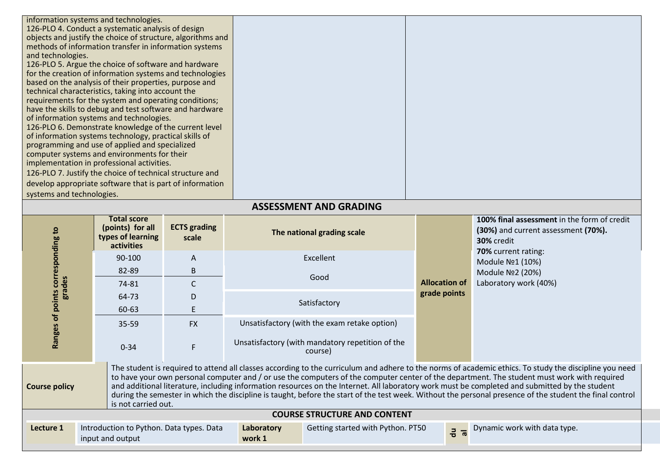| information systems and technologies.                       |  |  |  |  |  |
|-------------------------------------------------------------|--|--|--|--|--|
| 126-PLO 4. Conduct a systematic analysis of design          |  |  |  |  |  |
| objects and justify the choice of structure, algorithms and |  |  |  |  |  |
| methods of information transfer in information systems      |  |  |  |  |  |
| and technologies.                                           |  |  |  |  |  |
| 126-PLO 5. Argue the choice of software and hardware        |  |  |  |  |  |
| for the creation of information systems and technologies    |  |  |  |  |  |
| based on the analysis of their properties, purpose and      |  |  |  |  |  |
| technical characteristics, taking into account the          |  |  |  |  |  |
| requirements for the system and operating conditions;       |  |  |  |  |  |
| have the skills to debug and test software and hardware     |  |  |  |  |  |
| of information systems and technologies.                    |  |  |  |  |  |
| 126-PLO 6. Demonstrate knowledge of the current level       |  |  |  |  |  |
| of information systems technology, practical skills of      |  |  |  |  |  |
| programming and use of applied and specialized              |  |  |  |  |  |
| computer systems and environments for their                 |  |  |  |  |  |
| implementation in professional activities.                  |  |  |  |  |  |
| 126-PLO 7. Justify the choice of technical structure and    |  |  |  |  |  |
| develop appropriate software that is part of information    |  |  |  |  |  |
| systems and technologies.                                   |  |  |  |  |  |
| ASSESSMENT AND GRADING                                      |  |  |  |  |  |

## **Total score 100% final assessment** in the form of credit **ЕСТS grading (points) for all**  Ranges of points corresponding to **Ranges of points corresponding to (30%)** and current assessment **(70%). scale The national grading scale types of learning 30%** credit **activities 70%** current rating: 90-100 A A Excellent Module №1 (10%) 82-89 В Module №2 (20%) **grades** Good Laboratory work (40%) 74-81 С **Allocation of grade points** 64-73 D Satisfactory 60-63 Е 35-59 FХ Unsatisfactory (with the exam retake option) Unsatisfactory (with mandatory repetition of the 0-34 F course) The student is required to attend all classes according to the curriculum and adhere to the norms of academic ethics. To study the discipline you need to have your own personal computer and / or use the computers of the computer center of the department. The student must work with required and additional literature, including information resources on the Internet. All laboratory work must be completed and submitted by the student **Course policy** during the semester in which the discipline is taught, before the start of the test week. Without the personal presence of the student the final control is not carried out. **COURSE STRUCTURE AND CONTENT Lecture 1** Introduction to Python. Data types. Data Getting started with Python. PT50 **Laboratory**  Dynamic work with data type. **du al**

**work 1**

input and output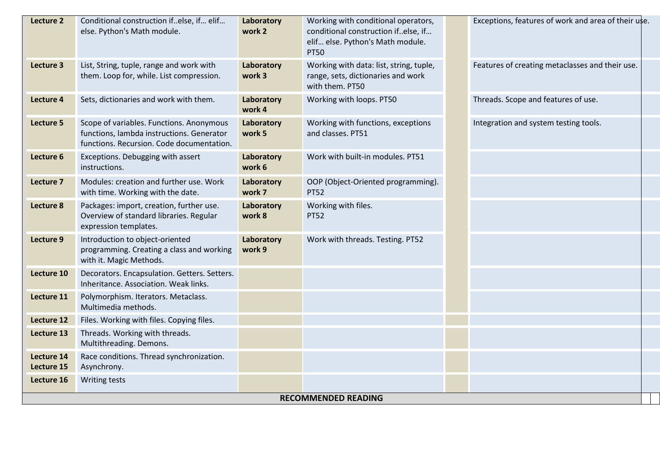| Lecture 2                | Conditional construction ifelse, if elif<br>else. Python's Math module.                                                            | Laboratory<br>work 2 | Working with conditional operators,<br>conditional construction ifelse, if<br>elif else. Python's Math module.<br><b>PT50</b> |  | Exceptions, features of work and area of their use. |  |  |  |
|--------------------------|------------------------------------------------------------------------------------------------------------------------------------|----------------------|-------------------------------------------------------------------------------------------------------------------------------|--|-----------------------------------------------------|--|--|--|
| Lecture 3                | List, String, tuple, range and work with<br>them. Loop for, while. List compression.                                               | Laboratory<br>work 3 | Working with data: list, string, tuple,<br>range, sets, dictionaries and work<br>with them. PT50                              |  | Features of creating metaclasses and their use.     |  |  |  |
| Lecture 4                | Sets, dictionaries and work with them.                                                                                             | Laboratory<br>work 4 | Working with loops. PT50                                                                                                      |  | Threads. Scope and features of use.                 |  |  |  |
| Lecture 5                | Scope of variables. Functions. Anonymous<br>functions, lambda instructions. Generator<br>functions. Recursion. Code documentation. | Laboratory<br>work 5 | Working with functions, exceptions<br>and classes. PT51                                                                       |  | Integration and system testing tools.               |  |  |  |
| Lecture 6                | Exceptions. Debugging with assert<br>instructions.                                                                                 | Laboratory<br>work 6 | Work with built-in modules. PT51                                                                                              |  |                                                     |  |  |  |
| Lecture 7                | Modules: creation and further use. Work<br>with time. Working with the date.                                                       | Laboratory<br>work 7 | OOP (Object-Oriented programming).<br><b>PT52</b>                                                                             |  |                                                     |  |  |  |
| Lecture 8                | Packages: import, creation, further use.<br>Overview of standard libraries. Regular<br>expression templates.                       | Laboratory<br>work 8 | Working with files.<br><b>PT52</b>                                                                                            |  |                                                     |  |  |  |
| Lecture 9                | Introduction to object-oriented<br>programming. Creating a class and working<br>with it. Magic Methods.                            | Laboratory<br>work 9 | Work with threads. Testing. PT52                                                                                              |  |                                                     |  |  |  |
| Lecture 10               | Decorators. Encapsulation. Getters. Setters.<br>Inheritance. Association. Weak links.                                              |                      |                                                                                                                               |  |                                                     |  |  |  |
| Lecture 11               | Polymorphism. Iterators. Metaclass.<br>Multimedia methods.                                                                         |                      |                                                                                                                               |  |                                                     |  |  |  |
| Lecture 12               | Files. Working with files. Copying files.                                                                                          |                      |                                                                                                                               |  |                                                     |  |  |  |
| Lecture 13               | Threads. Working with threads.<br>Multithreading. Demons.                                                                          |                      |                                                                                                                               |  |                                                     |  |  |  |
| Lecture 14<br>Lecture 15 | Race conditions. Thread synchronization.<br>Asynchrony.                                                                            |                      |                                                                                                                               |  |                                                     |  |  |  |
| Lecture 16               | <b>Writing tests</b>                                                                                                               |                      |                                                                                                                               |  |                                                     |  |  |  |
|                          | <b>RECOMMENDED READING</b>                                                                                                         |                      |                                                                                                                               |  |                                                     |  |  |  |